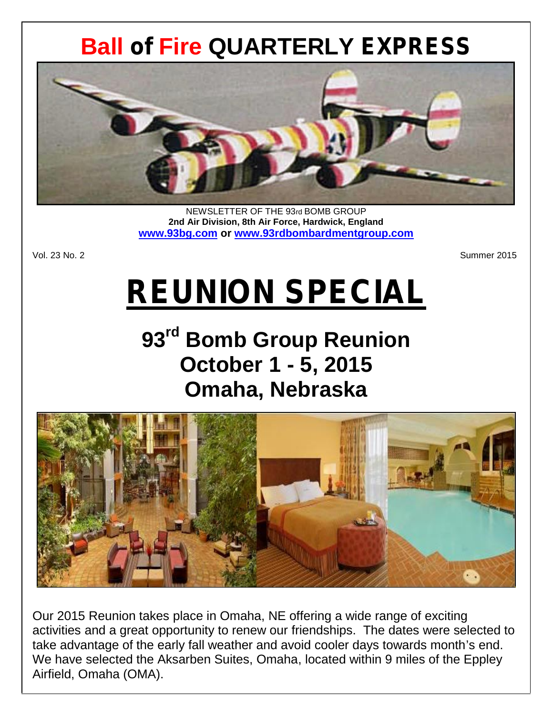# **Ball** *of* **Fire QUARTERLY** *EXPRESS*



NEWSLETTER OF THE 93rd BOMB GROUP **2nd Air Division, 8th Air Force, Hardwick, England www.93bg.com or www.93rdbombardmentgroup.com**

Vol. 23 No. 2 Summer 2015

# *REUNION SPECIAL*

# **93rd Bomb Group Reunion October 1 - 5, 2015 Omaha, Nebraska**



Our 2015 Reunion takes place in Omaha, NE offering a wide range of exciting activities and a great opportunity to renew our friendships. The dates were selected to take advantage of the early fall weather and avoid cooler days towards month's end. We have selected the Aksarben Suites, Omaha, located within 9 miles of the Eppley Airfield, Omaha (OMA).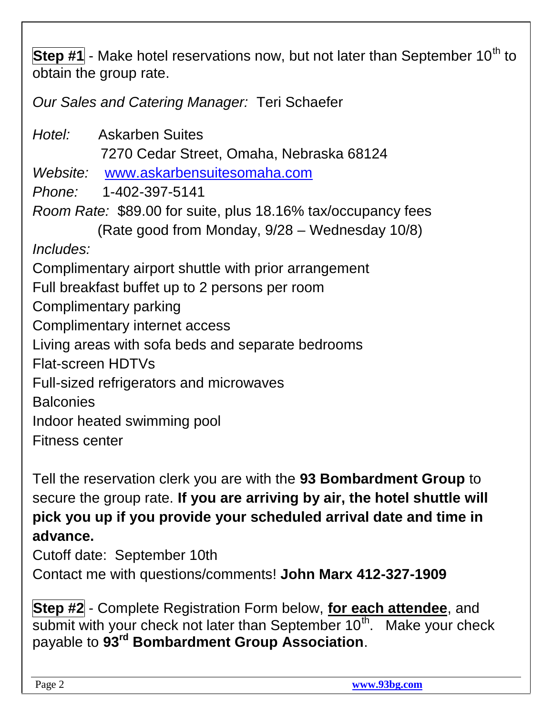**Step #1** - Make hotel reservations now, but not later than September 10<sup>th</sup> to obtain the group rate.

*Our Sales and Catering Manager:* Teri Schaefer

*Hotel:* Askarben Suites 7270 Cedar Street, Omaha, Nebraska 68124 *Website:* www.askarbensuitesomaha.com *Phone:* 1-402-397-5141 *Room Rate:* \$89.00 for suite, plus 18.16% tax/occupancy fees (Rate good from Monday, 9/28 – Wednesday 10/8) *Includes:* Complimentary airport shuttle with prior arrangement Full breakfast buffet up to 2 persons per room Complimentary parking Complimentary internet access Living areas with sofa beds and separate bedrooms Flat-screen HDTVs Full-sized refrigerators and microwaves **Balconies** Indoor heated swimming pool Fitness center

Tell the reservation clerk you are with the **93 Bombardment Group** to secure the group rate. **If you are arriving by air, the hotel shuttle will pick you up if you provide your scheduled arrival date and time in advance.**

Cutoff date: September 10th

Contact me with questions/comments! **John Marx 412-327-1909**

**Step #2** - Complete Registration Form below, **for each attendee**, and submit with your check not later than September  $10<sup>th</sup>$ . Make your check payable to **93rd Bombardment Group Association**.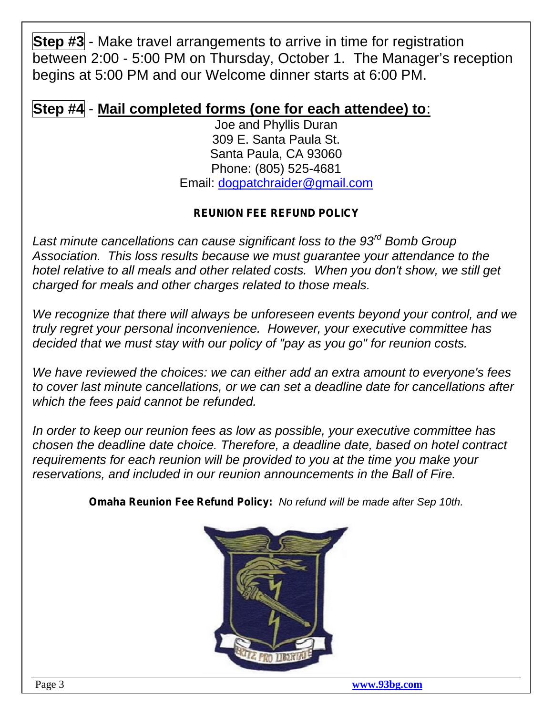**Step #3** - Make travel arrangements to arrive in time for registration between 2:00 - 5:00 PM on Thursday, October 1. The Manager's reception begins at 5:00 PM and our Welcome dinner starts at 6:00 PM.

# **Step #4** - **Mail completed forms (one for each attendee) to**:

Joe and Phyllis Duran 309 E. Santa Paula St. Santa Paula, CA 93060 Phone: (805) 525-4681 Email: dogpatchraider@gmail.com

### *REUNION FEE REFUND POLICY*

*Last minute cancellations can cause significant loss to the 93rd Bomb Group Association. This loss results because we must guarantee your attendance to the hotel relative to all meals and other related costs. When you don't show, we still get charged for meals and other charges related to those meals.*

*We recognize that there will always be unforeseen events beyond your control, and we truly regret your personal inconvenience. However, your executive committee has decided that we must stay with our policy of "pay as you go" for reunion costs.*

*We have reviewed the choices: we can either add an extra amount to everyone's fees to cover last minute cancellations, or we can set a deadline date for cancellations after which the fees paid cannot be refunded.*

*In order to keep our reunion fees as low as possible, your executive committee has chosen the deadline date choice. Therefore, a deadline date, based on hotel contract requirements for each reunion will be provided to you at the time you make your reservations, and included in our reunion announcements in the Ball of Fire.*

*Omaha Reunion Fee Refund Policy: No refund will be made after Sep 10th.*

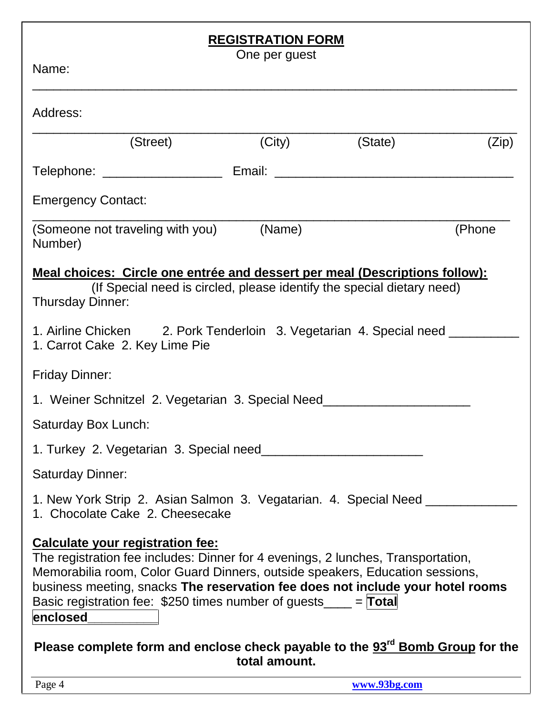# **REGISTRATION FORM**

| Name:                                                                                                                                                                                                                                                                                                                                                                         | One per guest |         |        |
|-------------------------------------------------------------------------------------------------------------------------------------------------------------------------------------------------------------------------------------------------------------------------------------------------------------------------------------------------------------------------------|---------------|---------|--------|
| Address:                                                                                                                                                                                                                                                                                                                                                                      |               |         |        |
| (Street)                                                                                                                                                                                                                                                                                                                                                                      | (City)        | (State) | (Zip)  |
| Telephone: ___________________________ Email: __________________________________                                                                                                                                                                                                                                                                                              |               |         |        |
| <b>Emergency Contact:</b>                                                                                                                                                                                                                                                                                                                                                     |               |         |        |
| (Someone not traveling with you) (Name)<br>Number)                                                                                                                                                                                                                                                                                                                            |               |         | (Phone |
| Meal choices: Circle one entrée and dessert per meal (Descriptions follow):<br>(If Special need is circled, please identify the special dietary need)<br><b>Thursday Dinner:</b>                                                                                                                                                                                              |               |         |        |
| 1. Airline Chicken 2. Pork Tenderloin 3. Vegetarian 4. Special need _________<br>1. Carrot Cake 2. Key Lime Pie                                                                                                                                                                                                                                                               |               |         |        |
| <b>Friday Dinner:</b>                                                                                                                                                                                                                                                                                                                                                         |               |         |        |
| 1. Weiner Schnitzel 2. Vegetarian 3. Special Need_______________________________                                                                                                                                                                                                                                                                                              |               |         |        |
| Saturday Box Lunch:                                                                                                                                                                                                                                                                                                                                                           |               |         |        |
| 1. Turkey 2. Vegetarian 3. Special need                                                                                                                                                                                                                                                                                                                                       |               |         |        |
| <b>Saturday Dinner:</b>                                                                                                                                                                                                                                                                                                                                                       |               |         |        |
| 1. New York Strip 2. Asian Salmon 3. Vegatarian. 4. Special Need _________<br>1. Chocolate Cake 2. Cheesecake                                                                                                                                                                                                                                                                 |               |         |        |
| <b>Calculate your registration fee:</b><br>The registration fee includes: Dinner for 4 evenings, 2 lunches, Transportation,<br>Memorabilia room, Color Guard Dinners, outside speakers, Education sessions,<br>business meeting, snacks The reservation fee does not include your hotel rooms<br>Basic registration fee: \$250 times number of guests____ = Total<br>enclosed |               |         |        |
| Please complete form and enclose check payable to the 93 <sup>rd</sup> Bomb Group for the                                                                                                                                                                                                                                                                                     | total amount. |         |        |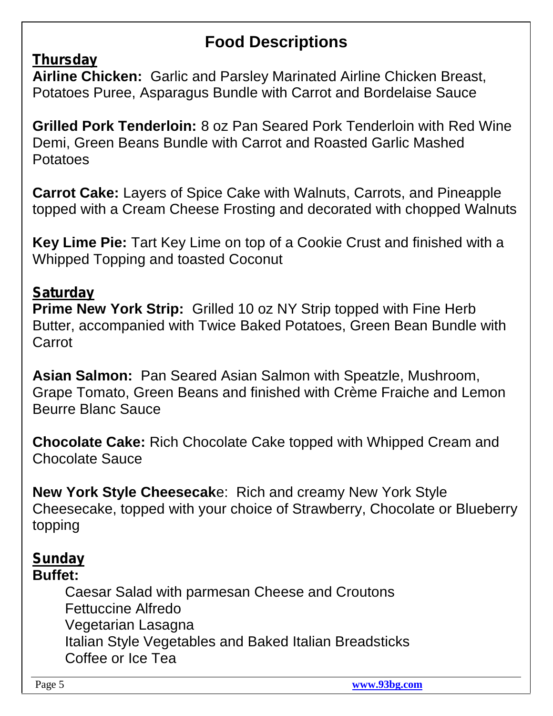# **Food Descriptions**

# *Thursday*

**Airline Chicken:** Garlic and Parsley Marinated Airline Chicken Breast, Potatoes Puree, Asparagus Bundle with Carrot and Bordelaise Sauce

**Grilled Pork Tenderloin:** 8 oz Pan Seared Pork Tenderloin with Red Wine Demi, Green Beans Bundle with Carrot and Roasted Garlic Mashed Potatoes

**Carrot Cake:** Layers of Spice Cake with Walnuts, Carrots, and Pineapple topped with a Cream Cheese Frosting and decorated with chopped Walnuts

**Key Lime Pie:** Tart Key Lime on top of a Cookie Crust and finished with a Whipped Topping and toasted Coconut

# *Saturday*

**Prime New York Strip:** Grilled 10 oz NY Strip topped with Fine Herb Butter, accompanied with Twice Baked Potatoes, Green Bean Bundle with Carrot

**Asian Salmon:** Pan Seared Asian Salmon with Speatzle, Mushroom, Grape Tomato, Green Beans and finished with Crème Fraiche and Lemon Beurre Blanc Sauce

**Chocolate Cake:** Rich Chocolate Cake topped with Whipped Cream and Chocolate Sauce

**New York Style Cheesecak**e: Rich and creamy New York Style Cheesecake, topped with your choice of Strawberry, Chocolate or Blueberry topping

### *Sunday* **Buffet:**

Caesar Salad with parmesan Cheese and Croutons Fettuccine Alfredo Vegetarian Lasagna Italian Style Vegetables and Baked Italian Breadsticks Coffee or Ice Tea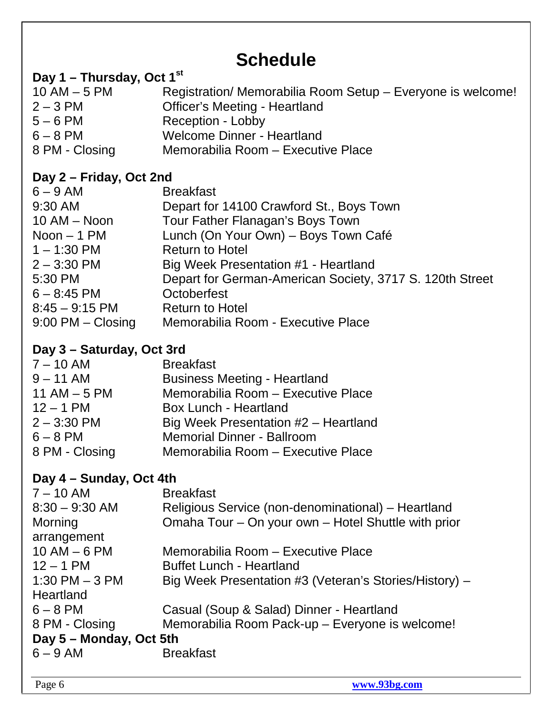# **Schedule**

# **Day 1 – Thursday, Oct 1st**

| $10$ AM $-5$ PM | Registration/ Memorabilia Room Setup - Everyone is welcome! |
|-----------------|-------------------------------------------------------------|
| $2 - 3$ PM      | <b>Officer's Meeting - Heartland</b>                        |
| $5 - 6$ PM      | Reception - Lobby                                           |
| $6 - 8$ PM      | Welcome Dinner - Heartland                                  |
| 8 PM - Closing  | Memorabilia Room – Executive Place                          |

# **Day 2 – Friday, Oct 2nd**

| $6 - 9$ AM            | <b>Breakfast</b>                                         |
|-----------------------|----------------------------------------------------------|
| 9:30 AM               | Depart for 14100 Crawford St., Boys Town                 |
| $10$ AM $-$ Noon      | Tour Father Flanagan's Boys Town                         |
| Noon $-1$ PM          | Lunch (On Your Own) - Boys Town Café                     |
| $1 - 1:30$ PM         | <b>Return to Hotel</b>                                   |
| $2 - 3:30$ PM         | Big Week Presentation #1 - Heartland                     |
| 5:30 PM               | Depart for German-American Society, 3717 S. 120th Street |
| $6 - 8:45$ PM         | Octoberfest                                              |
| $8:45 - 9:15$ PM      | <b>Return to Hotel</b>                                   |
| $9:00$ PM $-$ Closing | Memorabilia Room - Executive Place                       |
|                       |                                                          |

# **Day 3 – Saturday, Oct 3rd**

|                | -- |                                      |
|----------------|----|--------------------------------------|
| $7 - 10$ AM    |    | <b>Breakfast</b>                     |
| $9 - 11$ AM    |    | <b>Business Meeting - Heartland</b>  |
| 11 AM $-5$ PM  |    | Memorabilia Room - Executive Place   |
| $12 - 1$ PM    |    | Box Lunch - Heartland                |
| $2 - 3:30$ PM  |    | Big Week Presentation #2 - Heartland |
| $6 - 8$ PM     |    | <b>Memorial Dinner - Ballroom</b>    |
| 8 PM - Closing |    | Memorabilia Room - Executive Place   |
|                |    |                                      |

# **Day 4 – Sunday, Oct 4th**

| <b>Breakfast</b>                                       |
|--------------------------------------------------------|
| Religious Service (non-denominational) – Heartland     |
| Omaha Tour – On your own – Hotel Shuttle with prior    |
|                                                        |
| Memorabilia Room – Executive Place                     |
| <b>Buffet Lunch - Heartland</b>                        |
| Big Week Presentation #3 (Veteran's Stories/History) - |
|                                                        |
| Casual (Soup & Salad) Dinner - Heartland               |
| Memorabilia Room Pack-up - Everyone is welcome!        |
| Day 5 – Monday, Oct 5th                                |
| <b>Breakfast</b>                                       |
|                                                        |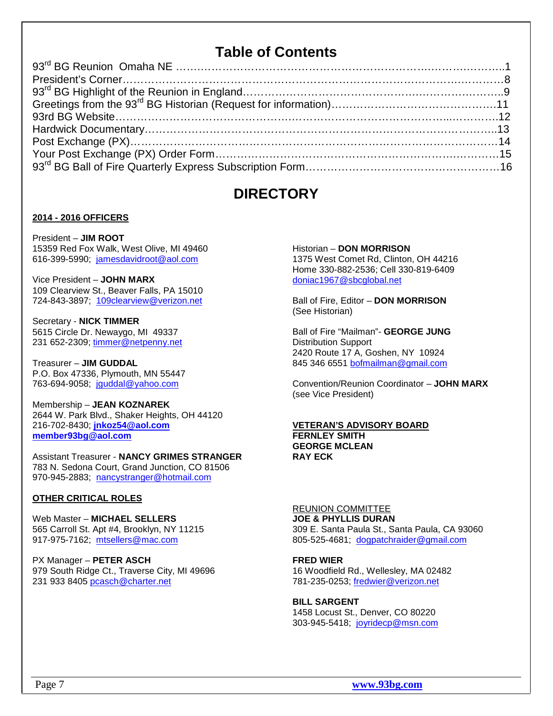# **Table of Contents**

### **DIRECTORY**

#### **2014 - 2016 OFFICERS**

President – **JIM ROOT** 15359 Red Fox Walk, West Olive, MI 49460 616-399-5990; jamesdavidroot@aol.com

Vice President – **JOHN MARX** 109 Clearview St., Beaver Falls, PA 15010 724-843-3897; 109clearview@verizon.net

Secretary - **NICK TIMMER** 5615 Circle Dr. Newaygo, MI 49337 231 652-2309; timmer@netpenny.net

Treasurer – **JIM GUDDAL** P.O. Box 47336, Plymouth, MN 55447 763-694-9058; jguddal@yahoo.com

Membership – **JEAN KOZNAREK** 2644 W. Park Blvd., Shaker Heights, OH 44120 216-702-8430; **jnkoz54@aol.com member93bg@aol.com**

Assistant Treasurer - **NANCY GRIMES STRANGER** 783 N. Sedona Court, Grand Junction, CO 81506 970-945-2883; nancystranger@hotmail.com

#### **OTHER CRITICAL ROLES**

Web Master – **MICHAEL SELLERS** 565 Carroll St. Apt #4, Brooklyn, NY 11215 917-975-7162; mtsellers@mac.com

PX Manager – **PETER ASCH** 979 South Ridge Ct., Traverse City, MI 49696 231 933 8405 pcasch@charter.net

Historian – **DON MORRISON** 1375 West Comet Rd, Clinton, OH 44216 Home 330-882-2536; Cell 330-819-6409 doniac1967@sbcglobal.net

Ball of Fire, Editor – **DON MORRISON** (See Historian)

Ball of Fire "Mailman"- **GEORGE JUNG** Distribution Support 2420 Route 17 A, Goshen, NY 10924 845 346 6551 bofmailman@gmail.com

Convention/Reunion Coordinator – **JOHN MARX** (see Vice President)

#### **VETERAN'S ADVISORY BOARD FERNLEY SMITH GEORGE MCLEAN RAY ECK**

#### REUNION COMMITTEE

**JOE & PHYLLIS DURAN** 309 E. Santa Paula St., Santa Paula, CA 93060 805-525-4681; dogpatchraider@gmail.com

#### **FRED WIER**

16 Woodfield Rd., Wellesley, MA 02482 781-235-0253; fredwier@verizon.net

#### **BILL SARGENT**

1458 Locust St., Denver, CO 80220 303-945-5418; joyridecp@msn.com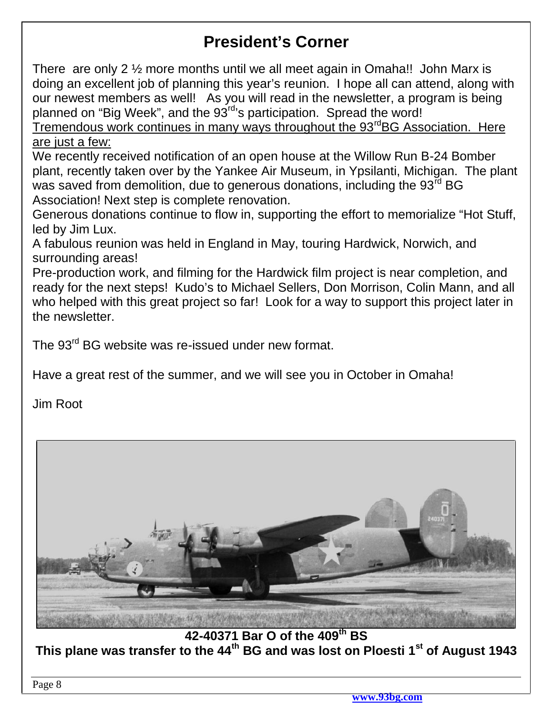# **President's Corner**

There are only 2 ½ more months until we all meet again in Omaha!! John Marx is doing an excellent job of planning this year's reunion. I hope all can attend, along with our newest members as well! As you will read in the newsletter, a program is being planned on "Big Week", and the 93<sup>rd</sup>'s participation. Spread the word!

Tremendous work continues in many ways throughout the  $93<sup>rd</sup>BG$  Association. Here are just a few:

We recently received notification of an open house at the Willow Run B-24 Bomber plant, recently taken over by the Yankee Air Museum, in Ypsilanti, Michigan. The plant was saved from demolition, due to generous donations, including the 93<sup>rd</sup> BG Association! Next step is complete renovation.

Generous donations continue to flow in, supporting the effort to memorialize "Hot Stuff, led by Jim Lux.

A fabulous reunion was held in England in May, touring Hardwick, Norwich, and surrounding areas!

Pre-production work, and filming for the Hardwick film project is near completion, and ready for the next steps! Kudo's to Michael Sellers, Don Morrison, Colin Mann, and all who helped with this great project so far! Look for a way to support this project later in the newsletter.

The 93<sup>rd</sup> BG website was re-issued under new format.

Have a great rest of the summer, and we will see you in October in Omaha!

Jim Root



**42-40371 Bar O of the 409th BS This plane was transfer to the 44th BG and was lost on Ploesti 1st of August 1943**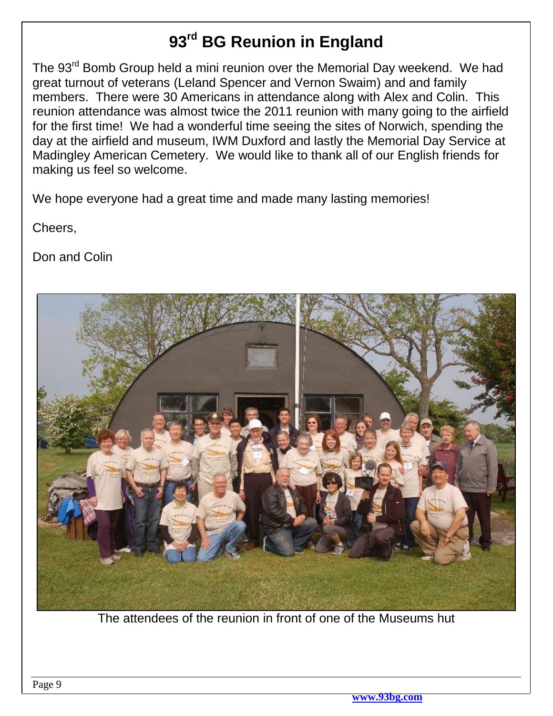# **93rd BG Reunion in England**

The 93<sup>rd</sup> Bomb Group held a mini reunion over the Memorial Day weekend. We had great turnout of veterans (Leland Spencer and Vernon Swaim) and and family members. There were 30 Americans in attendance along with Alex and Colin. This reunion attendance was almost twice the 2011 reunion with many going to the airfield for the first time! We had a wonderful time seeing the sites of Norwich, spending the day at the airfield and museum, IWM Duxford and lastly the Memorial Day Service at Madingley American Cemetery. We would like to thank all of our English friends for making us feel so welcome.

We hope everyone had a great time and made many lasting memories!

Cheers,

Don and Colin



The attendees of the reunion in front of one of the Museums hut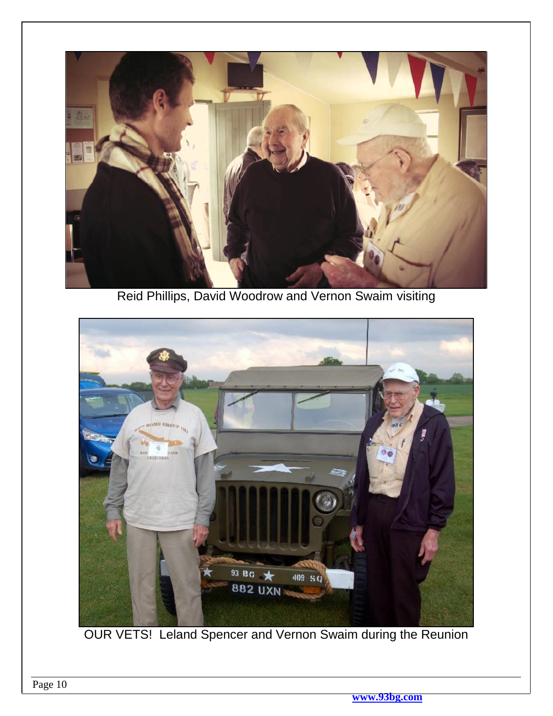

Reid Phillips, David Woodrow and Vernon Swaim visiting



OUR VETS! Leland Spencer and Vernon Swaim during the Reunion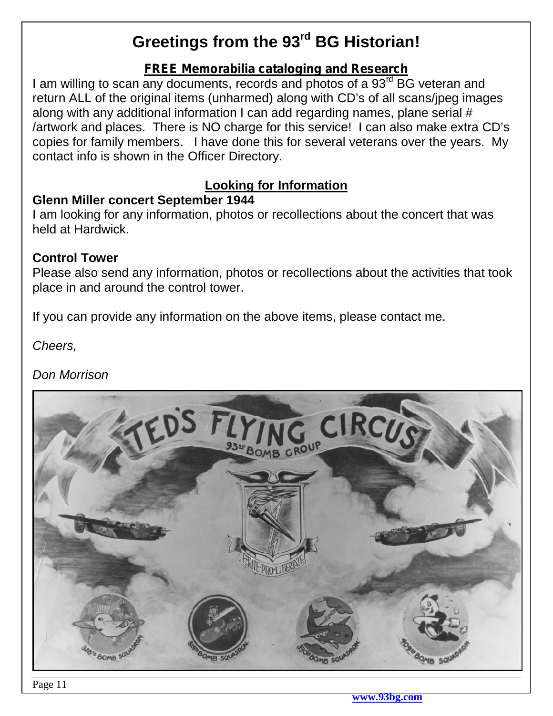# **Greetings from the 93rd BG Historian!**

# *FREE Memorabilia cataloging and Research*

I am willing to scan any documents, records and photos of a 93<sup>rd</sup> BG veteran and return ALL of the original items (unharmed) along with CD's of all scans/jpeg images along with any additional information I can add regarding names, plane serial # /artwork and places. There is NO charge for this service! I can also make extra CD's copies for family members. I have done this for several veterans over the years. My contact info is shown in the Officer Directory.

# **Looking for Information**

### **Glenn Miller concert September 1944**

I am looking for any information, photos or recollections about the concert that was held at Hardwick.

### **Control Tower**

Please also send any information, photos or recollections about the activities that took place in and around the control tower.

If you can provide any information on the above items, please contact me.

*Cheers,*

*Don Morrison*

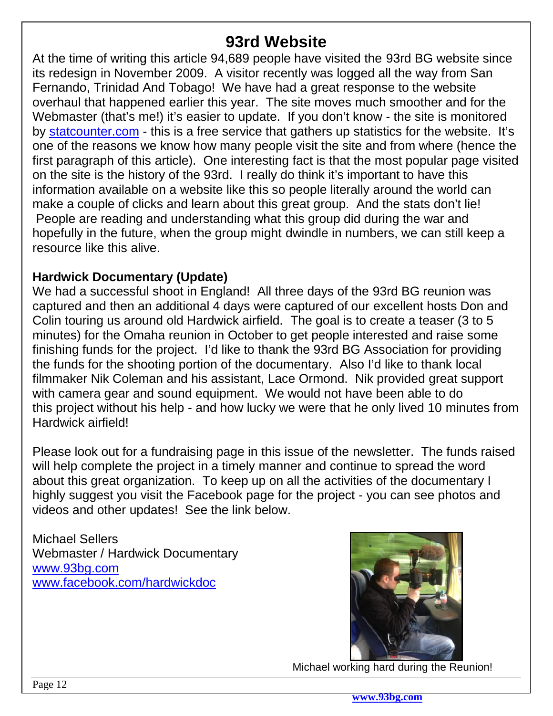# **93rd Website**

At the time of writing this article 94,689 people have visited the 93rd BG website since its redesign in November 2009. A visitor recently was logged all the way from San Fernando, Trinidad And Tobago! We have had a great response to the website overhaul that happened earlier this year. The site moves much smoother and for the Webmaster (that's me!) it's easier to update. If you don't know - the site is monitored by statcounter.com - this is a free service that gathers up statistics for the website. It's one of the reasons we know how many people visit the site and from where (hence the first paragraph of this article). One interesting fact is that the most popular page visited on the site is the history of the 93rd. I really do think it's important to have this information available on a website like this so people literally around the world can make a couple of clicks and learn about this great group. And the stats don't lie! People are reading and understanding what this group did during the war and hopefully in the future, when the group might dwindle in numbers, we can still keep a resource like this alive.

## **Hardwick Documentary (Update)**

We had a successful shoot in England! All three days of the 93rd BG reunion was captured and then an additional 4 days were captured of our excellent hosts Don and Colin touring us around old Hardwick airfield. The goal is to create a teaser (3 to 5 minutes) for the Omaha reunion in October to get people interested and raise some finishing funds for the project. I'd like to thank the 93rd BG Association for providing the funds for the shooting portion of the documentary. Also I'd like to thank local filmmaker Nik Coleman and his assistant, Lace Ormond. Nik provided great support with camera gear and sound equipment. We would not have been able to do this project without his help - and how lucky we were that he only lived 10 minutes from Hardwick airfield!

Please look out for a fundraising page in this issue of the newsletter. The funds raised will help complete the project in a timely manner and continue to spread the word about this great organization. To keep up on all the activities of the documentary I highly suggest you visit the Facebook page for the project - you can see photos and videos and other updates! See the link below.

Michael Sellers Webmaster / Hardwick Documentary www.93bg.com www.facebook.com/hardwickdoc



Michael working hard during the Reunion!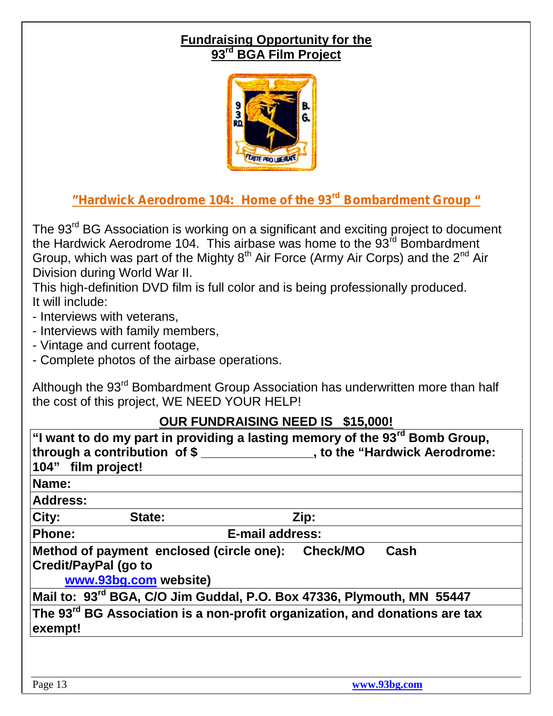# **Fundraising Opportunity for the 93rd BGA Film Project**



# *"Hardwick Aerodrome 104: Home of the 93rd Bombardment Group "*

The 93<sup>rd</sup> BG Association is working on a significant and exciting project to document the Hardwick Aerodrome 104. This airbase was home to the  $93<sup>rd</sup>$  Bombardment Group, which was part of the Mighty  $8<sup>th</sup>$  Air Force (Army Air Corps) and the  $2<sup>nd</sup>$  Air Division during World War II.

This high-definition DVD film is full color and is being professionally produced. It will include:

- Interviews with veterans,
- Interviews with family members,
- Vintage and current footage,
- Complete photos of the airbase operations.

Although the 93<sup>rd</sup> Bombardment Group Association has underwritten more than half the cost of this project, WE NEED YOUR HELP!

### **OUR FUNDRAISING NEED IS \$15,000!**

| 104" film project! | through a contribution of \$                                                                     | "I want to do my part in providing a lasting memory of the 93 <sup>rd</sup> Bomb Group,<br>_______, to the "Hardwick Aerodrome: |
|--------------------|--------------------------------------------------------------------------------------------------|---------------------------------------------------------------------------------------------------------------------------------|
| Name:              |                                                                                                  |                                                                                                                                 |
| <b>Address:</b>    |                                                                                                  |                                                                                                                                 |
| City:              | State:                                                                                           | Zip:                                                                                                                            |
| <b>Phone:</b>      |                                                                                                  | E-mail address:                                                                                                                 |
|                    | Method of payment enclosed (circle one):<br><b>Credit/PayPal (go to</b><br>www.93bg.com website) | Cash<br><b>Check/MO</b>                                                                                                         |
|                    |                                                                                                  | Mail to: 93 <sup>rd</sup> BGA, C/O Jim Guddal, P.O. Box 47336, Plymouth, MN 55447                                               |
| exempt!            |                                                                                                  | The 93 <sup>rd</sup> BG Association is a non-profit organization, and donations are tax                                         |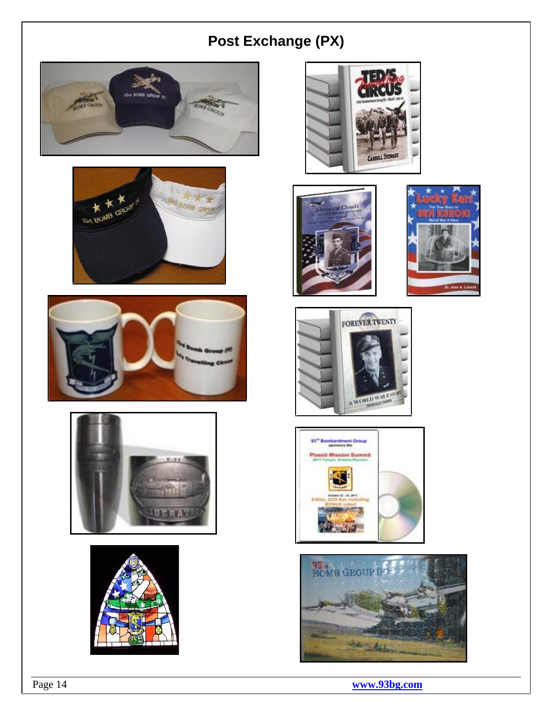# **Post Exchange (PX)**























### Page 14 **www.93bg.com**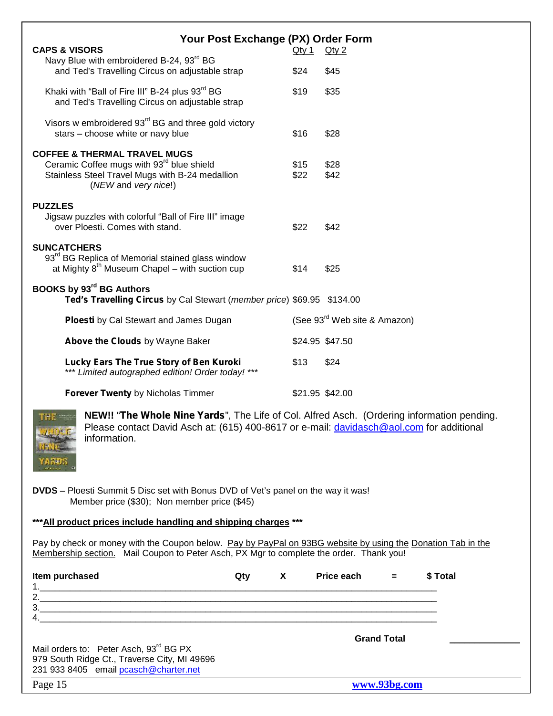| Your Post Exchange (PX) Order Form                                                                           |          |                                          |
|--------------------------------------------------------------------------------------------------------------|----------|------------------------------------------|
| <b>CAPS &amp; VISORS</b><br>Navy Blue with embroidered B-24, 93rd BG                                         | $Q$ ty 1 | $Q$ ty 2                                 |
| and Ted's Travelling Circus on adjustable strap                                                              | \$24     | \$45                                     |
| Khaki with "Ball of Fire III" B-24 plus 93rd BG<br>and Ted's Travelling Circus on adjustable strap           | \$19     | \$35                                     |
| Visors w embroidered 93 <sup>rd</sup> BG and three gold victory<br>stars - choose white or navy blue         | \$16     | \$28                                     |
| <b>COFFEE &amp; THERMAL TRAVEL MUGS</b>                                                                      |          |                                          |
| Ceramic Coffee mugs with 93 <sup>rd</sup> blue shield                                                        | \$15     | \$28                                     |
| Stainless Steel Travel Mugs with B-24 medallion<br>(NEW and very nice!)                                      | \$22     | \$42                                     |
| <b>PUZZLES</b>                                                                                               |          |                                          |
| Jigsaw puzzles with colorful "Ball of Fire III" image                                                        |          |                                          |
| over Ploesti. Comes with stand.                                                                              | \$22     | \$42                                     |
| <b>SUNCATCHERS</b>                                                                                           |          |                                          |
| 93 <sup>rd</sup> BG Replica of Memorial stained glass window                                                 |          |                                          |
| at Mighty $8^{th}$ Museum Chapel – with suction cup                                                          | \$14     | \$25                                     |
| <b>BOOKS by 93rd BG Authors</b>                                                                              |          |                                          |
| Ted's Travelling Circus by Cal Stewart (member price) \$69.95 \$134.00                                       |          |                                          |
| <b>Ploesti</b> by Cal Stewart and James Dugan                                                                |          | (See 93 <sup>rd</sup> Web site & Amazon) |
| Above the Clouds by Wayne Baker                                                                              |          | \$24.95 \$47.50                          |
| Lucky Ears The True Story of Ben Kuroki<br>*** Limited autographed edition! Order today! ***                 | \$13     | \$24                                     |
| <b>Forever Twenty by Nicholas Timmer</b>                                                                     |          | \$21.95 \$42.00                          |
| NEW!! "The Whole Nine Yards", The Life of Col. Alfred Asch. (Ordering information pending.<br><b>THE THE</b> |          |                                          |

**NEW!!** "*The Whole Nine Yards*", The Life of Col. Alfred Asch. (Ordering information pending. Please contact David Asch at: (615) 400-8617 or e-mail: davidasch@aol.com for additional information.

**DVDS** – Ploesti Summit 5 Disc set with Bonus DVD of Vet's panel on the way it was! Member price (\$30); Non member price (\$45)

#### **\*\*\*All product prices include handling and shipping charges \*\*\***

Pay by check or money with the Coupon below. Pay by PayPal on 93BG website by using the Donation Tab in the Membership section. Mail Coupon to Peter Asch, PX Mgr to complete the order. Thank you!

| Item purchased                                                                                                                              | Qty | $\boldsymbol{\mathsf{X}}$ | Price each $=$ |                    | \$ Total |
|---------------------------------------------------------------------------------------------------------------------------------------------|-----|---------------------------|----------------|--------------------|----------|
| 2.                                                                                                                                          |     |                           |                |                    |          |
| 3.<br>4                                                                                                                                     |     |                           |                |                    |          |
|                                                                                                                                             |     |                           |                | <b>Grand Total</b> |          |
| Mail orders to: Peter Asch, 93 <sup>rd</sup> BG PX<br>979 South Ridge Ct., Traverse City, MI 49696<br>231 933 8405 email pcasch@charter.net |     |                           |                |                    |          |
| Page 15                                                                                                                                     |     |                           |                | www.93bg.com       |          |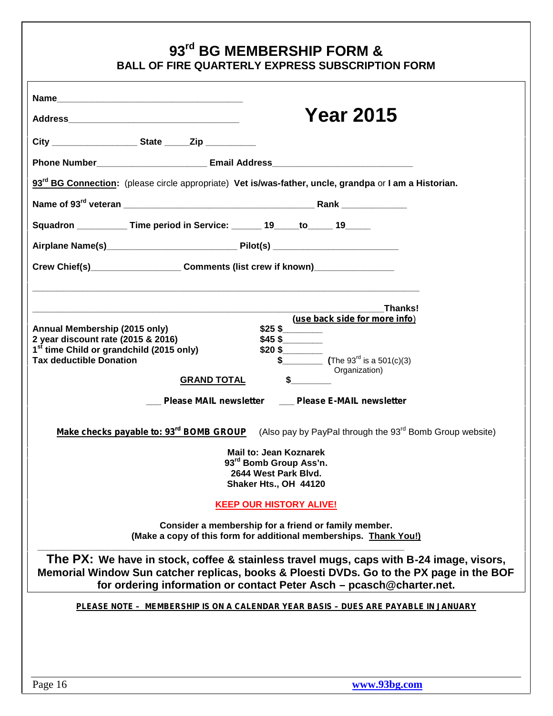# **93rd BG MEMBERSHIP FORM & BALL OF FIRE QUARTERLY EXPRESS SUBSCRIPTION FORM**

|                                                                                                                    | <b>Year 2015</b>                                                                                                               |
|--------------------------------------------------------------------------------------------------------------------|--------------------------------------------------------------------------------------------------------------------------------|
|                                                                                                                    |                                                                                                                                |
|                                                                                                                    |                                                                                                                                |
| Phone Number__________________________ Email Address____________________________                                   |                                                                                                                                |
| 93 <sup>rd</sup> BG Connection: (please circle appropriate) Vet is/was-father, uncle, grandpa or I am a Historian. |                                                                                                                                |
|                                                                                                                    |                                                                                                                                |
| Squadron ____________ Time period in Service: ______ 19_____to_____ 19_____                                        |                                                                                                                                |
|                                                                                                                    |                                                                                                                                |
| Crew Chief(s)_______________________Comments (list crew if known)_______________                                   |                                                                                                                                |
|                                                                                                                    |                                                                                                                                |
|                                                                                                                    | Thanks!                                                                                                                        |
| Annual Membership (2015 only)                                                                                      | (use back side for more info)<br>\$25\$                                                                                        |
| 2 year discount rate (2015 & 2016)                                                                                 | $$45$ \$                                                                                                                       |
| 1 <sup>st</sup> time Child or grandchild (2015 only)<br><b>Tax deductible Donation</b>                             | $$20\text{ }$\underline{\smash{\stackrel{}}$}$<br>$\sqrt[3]{\frac{1}{2}}$ (The 93 <sup>rd</sup> is a 501(c)(3)                 |
|                                                                                                                    | Organization)                                                                                                                  |
| <b>GRAND TOTAL</b>                                                                                                 | $\mathsf{s}$                                                                                                                   |
|                                                                                                                    | Please MAIL newsletter ___ Please E-MAIL newsletter                                                                            |
|                                                                                                                    | <b>Make checks payable to: 93<sup>rd</sup> BOMB GROUP</b> (Also pay by PayPal through the 93 <sup>rd</sup> Bomb Group website) |
|                                                                                                                    | <b>Mail to: Jean Koznarek</b>                                                                                                  |
|                                                                                                                    | 93rd Bomb Group Ass'n.                                                                                                         |
|                                                                                                                    | 2644 West Park Blvd.<br>Shaker Hts., OH 44120                                                                                  |
|                                                                                                                    |                                                                                                                                |
|                                                                                                                    | <b>KEEP OUR HISTORY ALIVE!</b>                                                                                                 |
|                                                                                                                    | Consider a membership for a friend or family member.<br>(Make a copy of this form for additional memberships. Thank You!)      |
|                                                                                                                    | The PX: We have in stock, coffee & stainless travel mugs, caps with B-24 image, visors,                                        |
|                                                                                                                    | Memorial Window Sun catcher replicas, books & Ploesti DVDs. Go to the PX page in the BOF                                       |
|                                                                                                                    | for ordering information or contact Peter Asch - pcasch@charter.net.                                                           |
|                                                                                                                    | PLEASE NOTE - MEMBERSHIP IS ON A CALENDAR YEAR BASIS - DUES ARE PAYABLE IN JANUARY                                             |